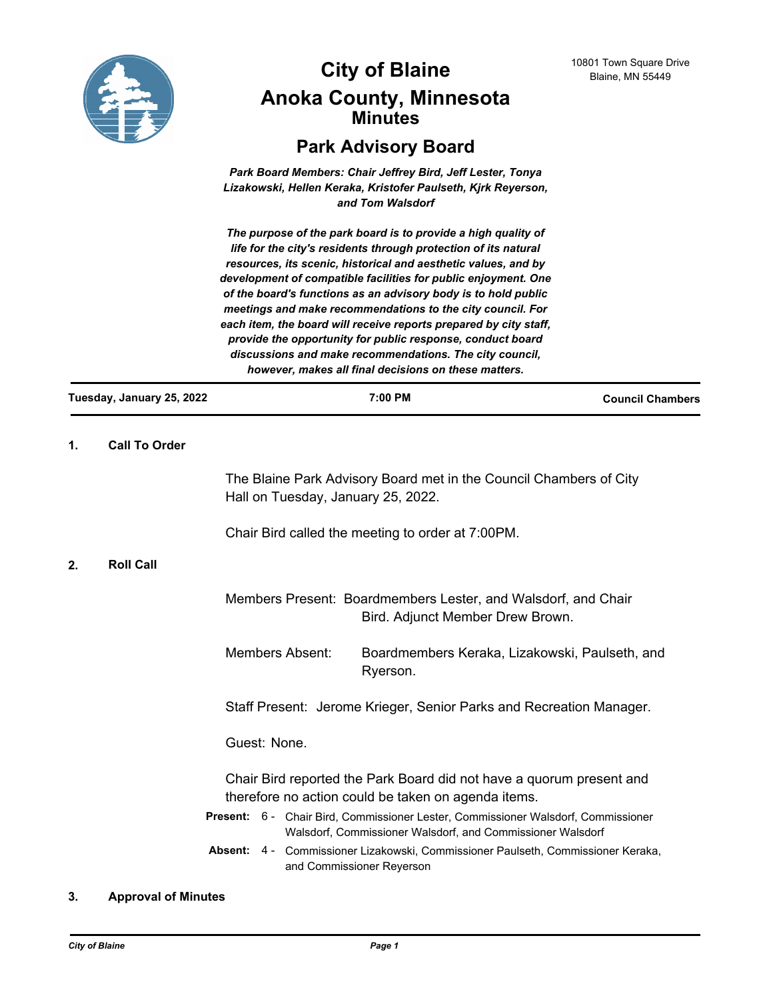

# **City of Blaine** 10801 Town Square Drive **City Anoka County, Minnesota Minutes**

# **Park Advisory Board**

*Park Board Members: Chair Jeffrey Bird, Jeff Lester, Tonya Lizakowski, Hellen Keraka, Kristofer Paulseth, Kjrk Reyerson, and Tom Walsdorf*

*The purpose of the park board is to provide a high quality of life for the city's residents through protection of its natural resources, its scenic, historical and aesthetic values, and by development of compatible facilities for public enjoyment. One of the board's functions as an advisory body is to hold public meetings and make recommendations to the city council. For each item, the board will receive reports prepared by city staff, provide the opportunity for public response, conduct board discussions and make recommendations. The city council, however, makes all final decisions on these matters.*

| Tuesday, January 25, 2022 |                      | 7:00 PM                                                                                           |                                                                    | <b>Council Chambers</b> |
|---------------------------|----------------------|---------------------------------------------------------------------------------------------------|--------------------------------------------------------------------|-------------------------|
| 1.                        | <b>Call To Order</b> |                                                                                                   |                                                                    |                         |
|                           |                      | Hall on Tuesday, January 25, 2022.                                                                | The Blaine Park Advisory Board met in the Council Chambers of City |                         |
|                           |                      | Chair Bird called the meeting to order at 7:00PM.                                                 |                                                                    |                         |
| 2.                        | <b>Roll Call</b>     |                                                                                                   |                                                                    |                         |
|                           |                      | Members Present: Boardmembers Lester, and Walsdorf, and Chair<br>Bird. Adjunct Member Drew Brown. |                                                                    |                         |
|                           |                      | Members Absent:                                                                                   | Boardmembers Keraka, Lizakowski, Paulseth, and                     |                         |

Ryerson.

Staff Present: Jerome Krieger, Senior Parks and Recreation Manager.

Guest: None.

Chair Bird reported the Park Board did not have a quorum present and therefore no action could be taken on agenda items.

- Present: 6 Chair Bird, Commissioner Lester, Commissioner Walsdorf, Commissioner Walsdorf, Commissioner Walsdorf, and Commissioner Walsdorf
- Absent: 4 Commissioner Lizakowski, Commissioner Paulseth, Commissioner Keraka, and Commissioner Reyerson

## **3. Approval of Minutes**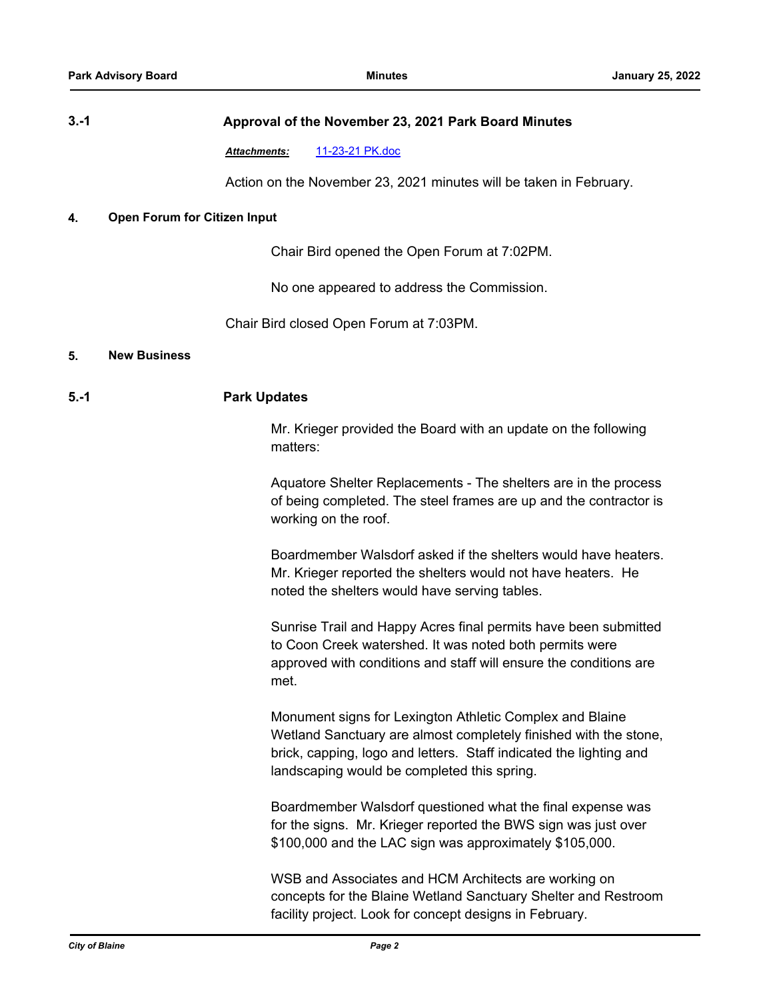# **3.-1 Approval of the November 23, 2021 Park Board Minutes**

*Attachments:* [11-23-21 PK.doc](http://Blaine.legistar.com/gateway.aspx?M=F&ID=d3ffaacf-9844-4984-8752-78470f63cfa2.doc)

Action on the November 23, 2021 minutes will be taken in February.

#### **4. Open Forum for Citizen Input**

Chair Bird opened the Open Forum at 7:02PM.

No one appeared to address the Commission.

Chair Bird closed Open Forum at 7:03PM.

#### **5. New Business**

#### **5.-1 Park Updates**

Mr. Krieger provided the Board with an update on the following matters:

Aquatore Shelter Replacements - The shelters are in the process of being completed. The steel frames are up and the contractor is working on the roof.

Boardmember Walsdorf asked if the shelters would have heaters. Mr. Krieger reported the shelters would not have heaters. He noted the shelters would have serving tables.

Sunrise Trail and Happy Acres final permits have been submitted to Coon Creek watershed. It was noted both permits were approved with conditions and staff will ensure the conditions are met.

Monument signs for Lexington Athletic Complex and Blaine Wetland Sanctuary are almost completely finished with the stone, brick, capping, logo and letters. Staff indicated the lighting and landscaping would be completed this spring.

Boardmember Walsdorf questioned what the final expense was for the signs. Mr. Krieger reported the BWS sign was just over \$100,000 and the LAC sign was approximately \$105,000.

WSB and Associates and HCM Architects are working on concepts for the Blaine Wetland Sanctuary Shelter and Restroom facility project. Look for concept designs in February.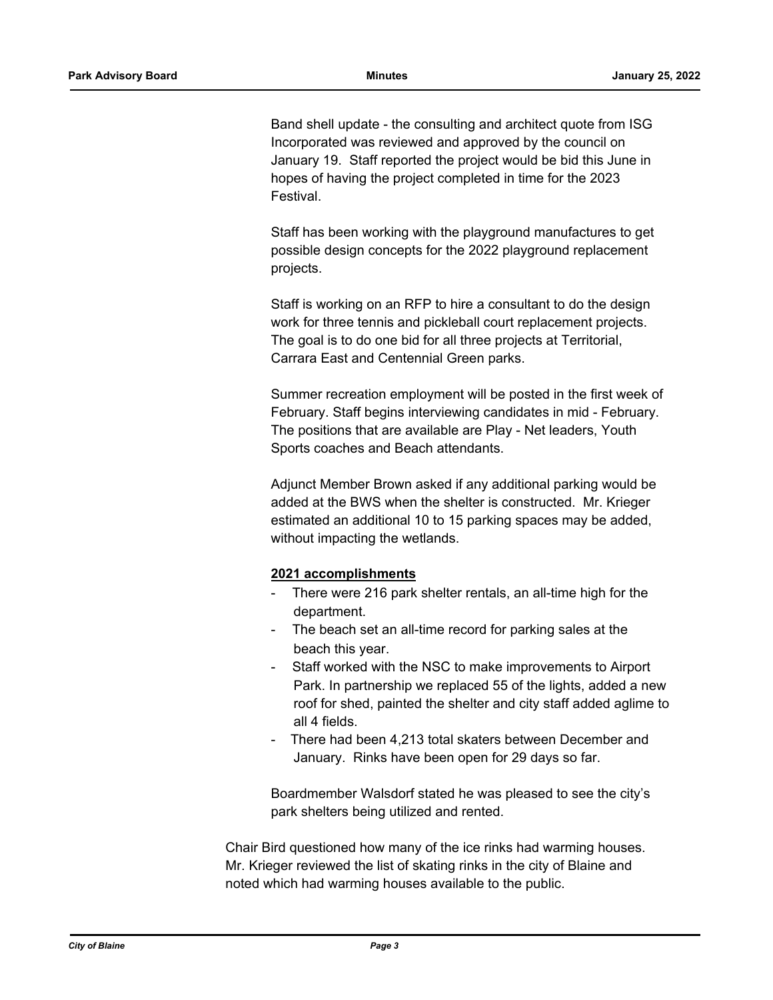Band shell update - the consulting and architect quote from ISG Incorporated was reviewed and approved by the council on January 19. Staff reported the project would be bid this June in hopes of having the project completed in time for the 2023 Festival.

Staff has been working with the playground manufactures to get possible design concepts for the 2022 playground replacement projects.

Staff is working on an RFP to hire a consultant to do the design work for three tennis and pickleball court replacement projects. The goal is to do one bid for all three projects at Territorial, Carrara East and Centennial Green parks.

Summer recreation employment will be posted in the first week of February. Staff begins interviewing candidates in mid - February. The positions that are available are Play - Net leaders, Youth Sports coaches and Beach attendants.

Adjunct Member Brown asked if any additional parking would be added at the BWS when the shelter is constructed. Mr. Krieger estimated an additional 10 to 15 parking spaces may be added, without impacting the wetlands.

## **2021 accomplishments**

- There were 216 park shelter rentals, an all-time high for the department.
- The beach set an all-time record for parking sales at the beach this year.
- Staff worked with the NSC to make improvements to Airport Park. In partnership we replaced 55 of the lights, added a new roof for shed, painted the shelter and city staff added aglime to all 4 fields.
- There had been 4,213 total skaters between December and January. Rinks have been open for 29 days so far.

Boardmember Walsdorf stated he was pleased to see the city's park shelters being utilized and rented.

Chair Bird questioned how many of the ice rinks had warming houses. Mr. Krieger reviewed the list of skating rinks in the city of Blaine and noted which had warming houses available to the public.